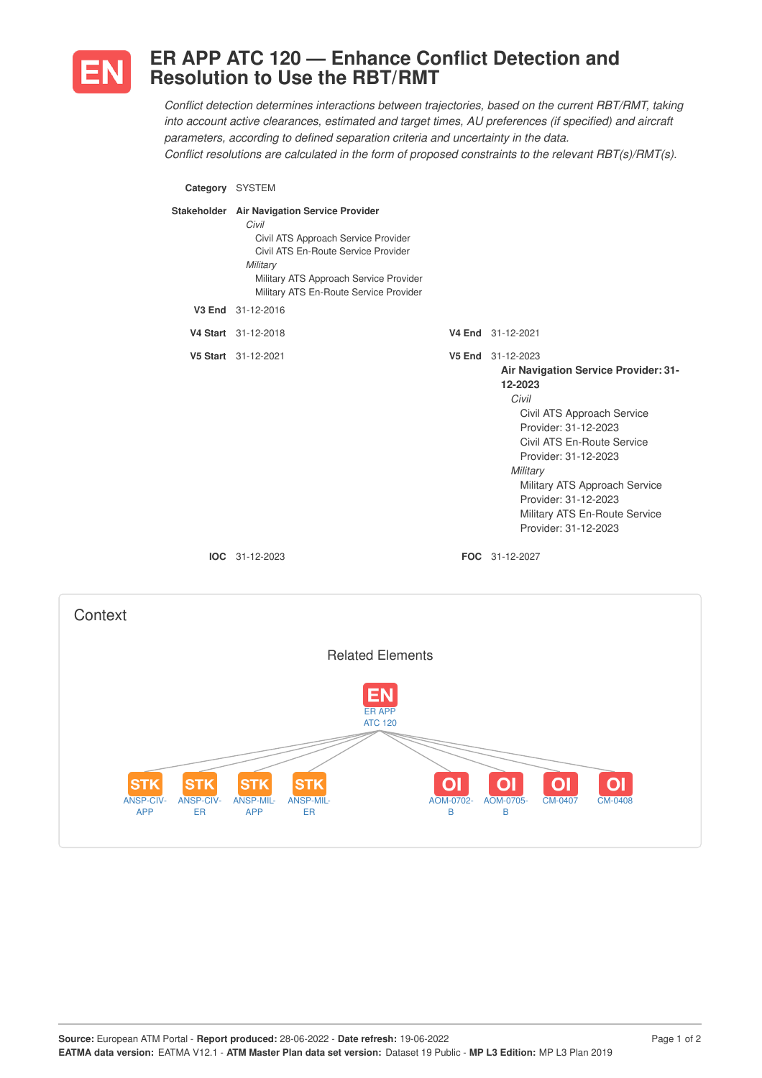

## **ER APP ATC 120 — Enhance Conflict Detection and Resolution to Use the RBT/RMT**

*Conflict detection determines interactions between trajectories, based on the current RBT/RMT, taking into account active clearances, estimated and target times, AU preferences (if specified) and aircraft parameters, according to defined separation criteria and uncertainty in the data. Conflict resolutions are calculated in the form of proposed constraints to the relevant RBT(s)/RMT(s).*

**Category** SYSTEM **Stakeholder Air Navigation Service Provider** *Civil* Civil ATS Approach Service Provider Civil ATS En-Route Service Provider *Military* Military ATS Approach Service Provider Military ATS En-Route Service Provider **V3 End** 31-12-2016 **V4 Start** 31-12-2018 **V4 End** 31-12-2021 **V5 Start** 31-12-2021 **V5 End** 31-12-2023 **Air Navigation Service Provider: 31- 12-2023** *Civil* Civil ATS Approach Service Provider: 31-12-2023 Civil ATS En-Route Service Provider: 31-12-2023 *Military* Military ATS Approach Service Provider: 31-12-2023 Military ATS En-Route Service Provider: 31-12-2023 **IOC** 31-12-2023 **FOC** 31-12-2027